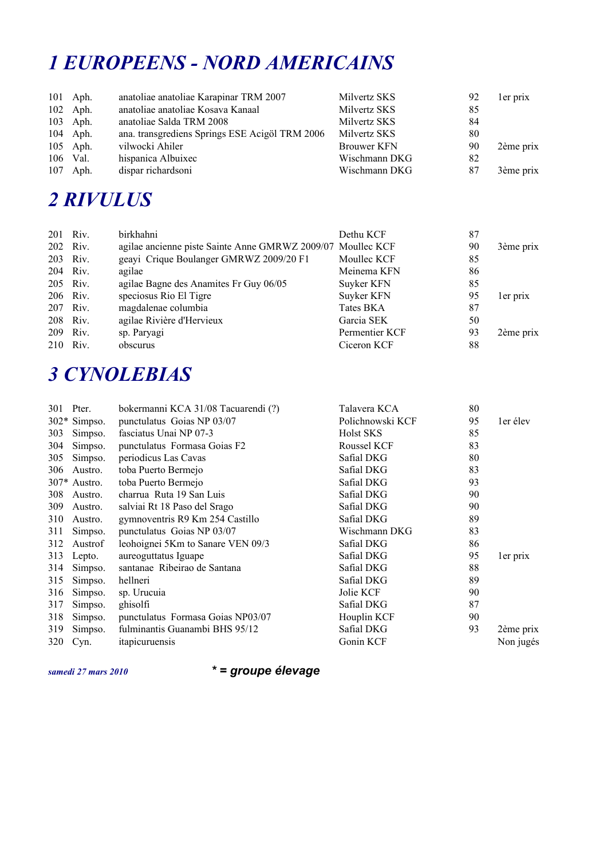## *1 EUROPEENS - NORD AMERICAINS*

| 101 Aph.<br>102 Aph.<br>103 Aph. | anatoliae anatoliae Karapinar TRM 2007<br>anatoliae anatoliae Kosava Kanaal<br>anatoliae Salda TRM 2008 | Milvertz SKS<br>Milvertz SKS<br>Milvertz SKS | 92<br>85<br>84 | ler prix  |
|----------------------------------|---------------------------------------------------------------------------------------------------------|----------------------------------------------|----------------|-----------|
| 104 Aph.<br>105 Aph.             | ana. transgrediens Springs ESE Acigöl TRM 2006<br>vilwocki Ahiler                                       | Milvertz SKS<br><b>Brouwer KFN</b>           | 80<br>90       | 2ème prix |
| 106 Val.<br>107 Aph.             | hispanica Albuixec<br>dispar richardsoni                                                                | Wischmann DKG<br>Wischmann DKG               | 82<br>87       | 3ème prix |

## *2 RIVULUS*

| 201 Riv. |          | birkhahni                                                   | Dethu KCF      | 87 |           |
|----------|----------|-------------------------------------------------------------|----------------|----|-----------|
| 202 Riv. |          | agilae ancienne piste Sainte Anne GMRWZ 2009/07 Moullec KCF |                | 90 | 3ème prix |
| 203 Riv. |          | geayi Crique Boulanger GMRWZ 2009/20 F1                     | Moullec KCF    | 85 |           |
|          | 204 Riv. | agilae                                                      | Meinema KFN    | 86 |           |
| 205 Riv. |          | agilae Bagne des Anamites Fr Guy 06/05                      | Suyker KFN     | 85 |           |
| 206 Riv. |          | speciosus Rio El Tigre                                      | Suyker KFN     | 95 | ler prix  |
| 207 Riv. |          | magdalenae columbia                                         | Tates BKA      | 87 |           |
|          | 208 Riv. | agilae Rivière d'Hervieux                                   | Garcia SEK     | 50 |           |
| 209 Riv. |          | sp. Paryagi                                                 | Permentier KCF | 93 | 2ème prix |
| 210 Riv. |          | obscurus                                                    | Ciceron KCF    | 88 |           |

### *3 CYNOLEBIAS*

| 301 | Pter.          | bokermanni KCA 31/08 Tacuarendi (?) | Talavera KCA     | 80 |           |
|-----|----------------|-------------------------------------|------------------|----|-----------|
|     | 302* Simpso.   | punctulatus Goias NP 03/07          | Polichnowski KCF | 95 | ler élev  |
| 303 | Simpso.        | fasciatus Unai NP 07-3              | Holst SKS        | 85 |           |
| 304 | Simpso.        | punctulatus Formasa Goias F2        | Roussel KCF      | 83 |           |
| 305 | Simpso.        | periodicus Las Cavas                | Safial DKG       | 80 |           |
| 306 | Austro.        | toba Puerto Bermejo                 | Safial DKG       | 83 |           |
|     | $307*$ Austro. | toba Puerto Bermejo                 | Safial DKG       | 93 |           |
| 308 | Austro.        | charrua Ruta 19 San Luis            | Safial DKG       | 90 |           |
| 309 | Austro.        | salviai Rt 18 Paso del Srago        | Safial DKG       | 90 |           |
| 310 | Austro.        | gymnoventris R9 Km 254 Castillo     | Safial DKG       | 89 |           |
| 311 | Simpso.        | punctulatus Goias NP 03/07          | Wischmann DKG    | 83 |           |
| 312 | Austrof        | leohoignei 5Km to Sanare VEN 09/3   | Safial DKG       | 86 |           |
| 313 | Lepto.         | aureoguttatus Iguape                | Safial DKG       | 95 | ler prix  |
| 314 | Simpso.        | santanae Ribeirao de Santana        | Safial DKG       | 88 |           |
| 315 | Simpso.        | hellneri                            | Safial DKG       | 89 |           |
| 316 | Simpso.        | sp. Urucuia                         | Jolie KCF        | 90 |           |
| 317 | Simpso.        | ghisolfi                            | Safial DKG       | 87 |           |
| 318 | Simpso.        | punctulatus Formasa Goias NP03/07   | Houplin KCF      | 90 |           |
| 319 | Simpso.        | fulminantis Guanambi BHS 95/12      | Safial DKG       | 93 | 2ème prix |
| 320 | Cyn.           | itapicuruensis                      | Gonin KCF        |    | Non jugés |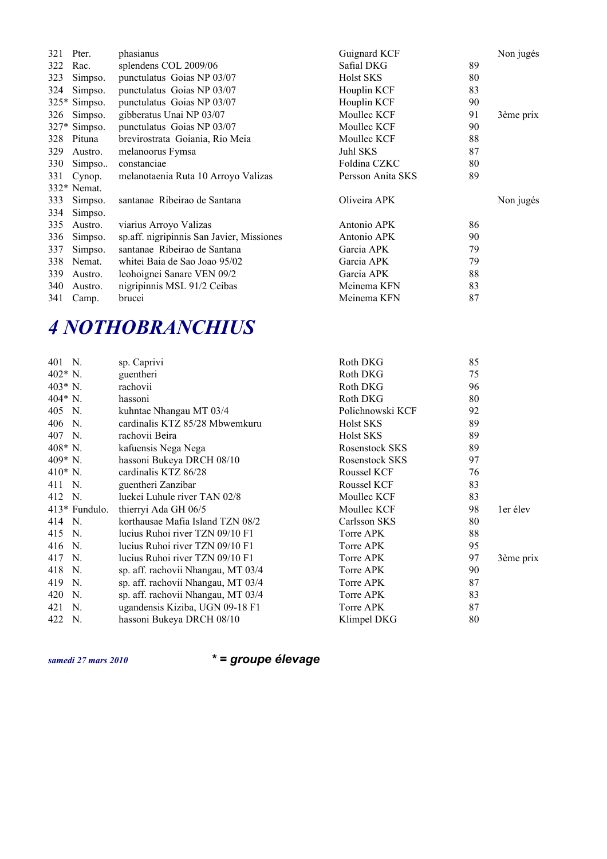| 321 | Pter.        | phasianus                                 | Guignard KCF            | Non jugés |
|-----|--------------|-------------------------------------------|-------------------------|-----------|
| 322 | Rac.         | splendens COL 2009/06                     | 89<br>Safial DKG        |           |
| 323 | Simpso.      | punctulatus Goias NP 03/07                | <b>Holst SKS</b><br>80  |           |
| 324 | Simpso.      | punctulatus Goias NP 03/07                | Houplin KCF<br>83       |           |
|     | 325* Simpso. | punctulatus Goias NP 03/07                | Houplin KCF<br>90       |           |
| 326 | Simpso.      | gibberatus Unai NP 03/07                  | Moullec KCF<br>91       | 3ème prix |
|     | 327* Simpso. | punctulatus Goias NP 03/07                | Moullec KCF<br>90       |           |
| 328 | Pituna       | brevirostrata Goiania, Rio Meia           | Moullec KCF<br>88       |           |
| 329 | Austro.      | melanoorus Fymsa                          | 87<br>Juhl SKS          |           |
| 330 | Simpso       | constanciae                               | Foldina CZKC<br>80      |           |
| 331 | Cynop.       | melanotaenia Ruta 10 Arroyo Valizas       | 89<br>Persson Anita SKS |           |
|     | 332* Nemat.  |                                           |                         |           |
| 333 | Simpso.      | santanae Ribeirao de Santana              | Oliveira APK            | Non jugés |
| 334 | Simpso.      |                                           |                         |           |
| 335 | Austro.      | viarius Arroyo Valizas                    | Antonio APK<br>86       |           |
| 336 | Simpso.      | sp.aff. nigripinnis San Javier, Missiones | 90<br>Antonio APK       |           |
| 337 | Simpso.      | santanae Ribeirao de Santana              | Garcia APK<br>79        |           |
| 338 | Nemat.       | whitei Baia de Sao Joao 95/02             | Garcia APK<br>79        |           |
| 339 | Austro.      | leohoignei Sanare VEN 09/2                | 88<br>Garcia APK        |           |
| 340 | Austro.      | nigripinnis MSL 91/2 Ceibas               | 83<br>Meinema KFN       |           |
| 341 | Camp.        | brucei                                    | 87<br>Meinema KFN       |           |

# *4 NOTHOBRANCHIUS*

| 401 N.    |               | sp. Caprivi                        | Roth DKG         | 85 |           |
|-----------|---------------|------------------------------------|------------------|----|-----------|
| 402* N.   |               | guentheri                          | Roth DKG         | 75 |           |
| 403* N.   |               | rachovii                           | Roth DKG         | 96 |           |
| 404* N.   |               | hassoni                            | Roth DKG         | 80 |           |
| 405 N.    |               | kuhntae Nhangau MT 03/4            | Polichnowski KCF | 92 |           |
| 406 N.    |               | cardinalis KTZ 85/28 Mbwemkuru     | Holst SKS        | 89 |           |
| 407 N.    |               | rachovii Beira                     | Holst SKS        | 89 |           |
| $408*$ N. |               | kafuensis Nega Nega                | Rosenstock SKS   | 89 |           |
| 409* N.   |               | hassoni Bukeya DRCH 08/10          | Rosenstock SKS   | 97 |           |
| $410*$ N. |               | cardinalis KTZ 86/28               | Roussel KCF      | 76 |           |
| 411 N.    |               | guentheri Zanzibar                 | Roussel KCF      | 83 |           |
| 412 N.    |               | luekei Luhule river TAN 02/8       | Moullec KCF      | 83 |           |
|           | 413* Fundulo. | thierryi Ada GH 06/5               | Moullec KCF      | 98 | ler élev  |
| 414 N.    |               | korthausae Mafia Island TZN 08/2   | Carlsson SKS     | 80 |           |
| 415 N.    |               | lucius Ruhoi river TZN 09/10 F1    | Torre APK        | 88 |           |
| 416 N.    |               | lucius Ruhoi river TZN 09/10 F1    | Torre APK        | 95 |           |
| 417 N.    |               | lucius Ruhoi river TZN 09/10 F1    | Torre APK        | 97 | 3ème prix |
| 418       | N.            | sp. aff. rachovii Nhangau, MT 03/4 | Torre APK        | 90 |           |
| 419       | N.            | sp. aff. rachovii Nhangau, MT 03/4 | Torre APK        | 87 |           |
| 420 N.    |               | sp. aff. rachovii Nhangau, MT 03/4 | Torre APK        | 83 |           |
| 421 N.    |               | ugandensis Kiziba, UGN 09-18 F1    | Torre APK        | 87 |           |
| 422       | N.            | hassoni Bukeya DRCH 08/10          | Klimpel DKG      | 80 |           |
|           |               |                                    |                  |    |           |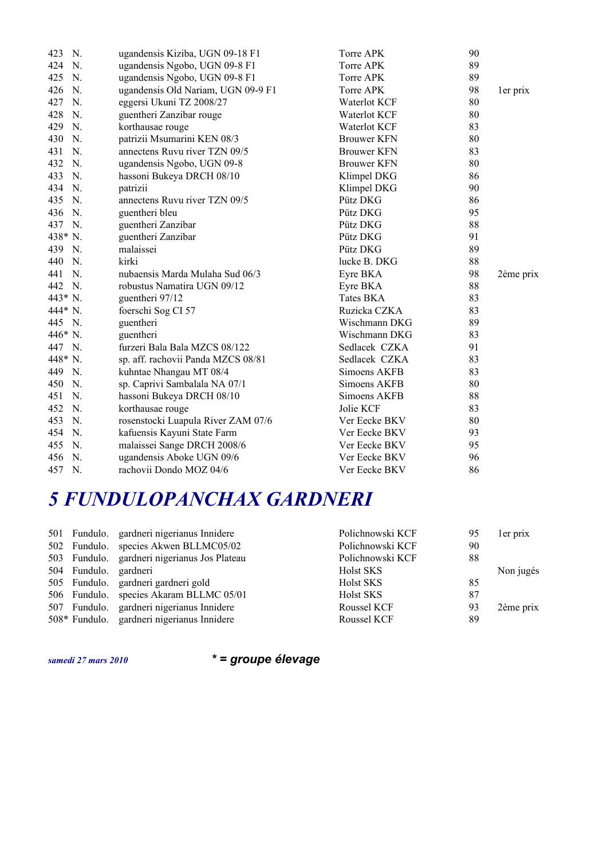| N.<br>423 | ugandensis Kiziba, UGN 09-18 F1    | Torre APK          | 90 |           |
|-----------|------------------------------------|--------------------|----|-----------|
| 424<br>N. | ugandensis Ngobo, UGN 09-8 F1      | Torre APK          | 89 |           |
| N.<br>425 | ugandensis Ngobo, UGN 09-8 F1      | Torre APK          | 89 |           |
| 426<br>N. | ugandensis Old Nariam, UGN 09-9 F1 | Torre APK          | 98 | ler prix  |
| 427<br>N. | eggersi Ukuni TZ 2008/27           | Waterlot KCF       | 80 |           |
| 428<br>N. | guentheri Zanzibar rouge           | Waterlot KCF       | 80 |           |
| 429<br>N. | korthausae rouge                   | Waterlot KCF       | 83 |           |
| 430<br>N. | patrizii Msumarini KEN 08/3        | <b>Brouwer KFN</b> | 80 |           |
| 431<br>N. | annectens Ruvu river TZN 09/5      | <b>Brouwer KFN</b> | 83 |           |
| 432<br>N. | ugandensis Ngobo, UGN 09-8         | <b>Brouwer KFN</b> | 80 |           |
| 433<br>N. | hassoni Bukeya DRCH 08/10          | Klimpel DKG        | 86 |           |
| 434<br>N. | patrizii                           | Klimpel DKG        | 90 |           |
| 435<br>N. | annectens Ruvu river TZN 09/5      | Pütz DKG           | 86 |           |
| 436 N.    | guentheri bleu                     | Pütz DKG           | 95 |           |
| 437 N.    | guentheri Zanzibar                 | Pütz DKG           | 88 |           |
| 438* N.   | guentheri Zanzibar                 | Pütz DKG           | 91 |           |
| 439 N.    | malaissei                          | Pütz DKG           | 89 |           |
| 440<br>N. | kirki                              | lucke B. DKG       | 88 |           |
| 441<br>N. | nubaensis Marda Mulaha Sud 06/3    | Eyre BKA           | 98 | 2ème prix |
| 442 N.    | robustus Namatira UGN 09/12        | Eyre BKA           | 88 |           |
| 443* N.   | guentheri 97/12                    | Tates BKA          | 83 |           |
| 444* N.   | foerschi Sog CI 57                 | Ruzicka CZKA       | 83 |           |
| 445 N.    | guentheri                          | Wischmann DKG      | 89 |           |
| 446* N.   | guentheri                          | Wischmann DKG      | 83 |           |
| 447 N.    | furzeri Bala Bala MZCS 08/122      | Sedlacek CZKA      | 91 |           |
| 448* N.   | sp. aff. rachovii Panda MZCS 08/81 | Sedlacek CZKA      | 83 |           |
| 449 N.    | kuhntae Nhangau MT 08/4            | Simoens AKFB       | 83 |           |
| 450<br>N. | sp. Caprivi Sambalala NA 07/1      | Simoens AKFB       | 80 |           |
| 451<br>N. | hassoni Bukeya DRCH 08/10          | Simoens AKFB       | 88 |           |
| 452<br>N. | korthausae rouge                   | Jolie KCF          | 83 |           |
| 453<br>N. | rosenstocki Luapula River ZAM 07/6 | Ver Eecke BKV      | 80 |           |
| N.<br>454 | kafuensis Kayuni State Farm        | Ver Eecke BKV      | 93 |           |
| 455<br>N. | malaissei Sange DRCH 2008/6        | Ver Eecke BKV      | 95 |           |
| 456<br>N. | ugandensis Aboke UGN 09/6          | Ver Eecke BKV      | 96 |           |
| 457<br>N. | rachovii Dondo MOZ 04/6            | Ver Eecke BKV      | 86 |           |

### *5 FUNDULOPANCHAX GARDNERI*

|                       | 501 Fundulo. gardneri nigerianus Innidere    | Polichnowski KCF | 95 | ler prix  |
|-----------------------|----------------------------------------------|------------------|----|-----------|
|                       | 502 Fundulo. species Akwen BLLMC05/02        | Polichnowski KCF | 90 |           |
|                       | 503 Fundulo. gardneri nigerianus Jos Plateau | Polichnowski KCF | 88 |           |
| 504 Fundulo. gardneri |                                              | Holst SKS        |    | Non jugés |
|                       | 505 Fundulo. gardneri gardneri gold          | Holst SKS        | 85 |           |
|                       | 506 Fundulo. species Akaram BLLMC 05/01      | Holst SKS        | 87 |           |
|                       | 507 Fundulo. gardneri nigerianus Innidere    | Roussel KCF      | 93 | 2ème prix |
|                       | 508* Fundulo. gardneri nigerianus Innidere   | Roussel KCF      | 89 |           |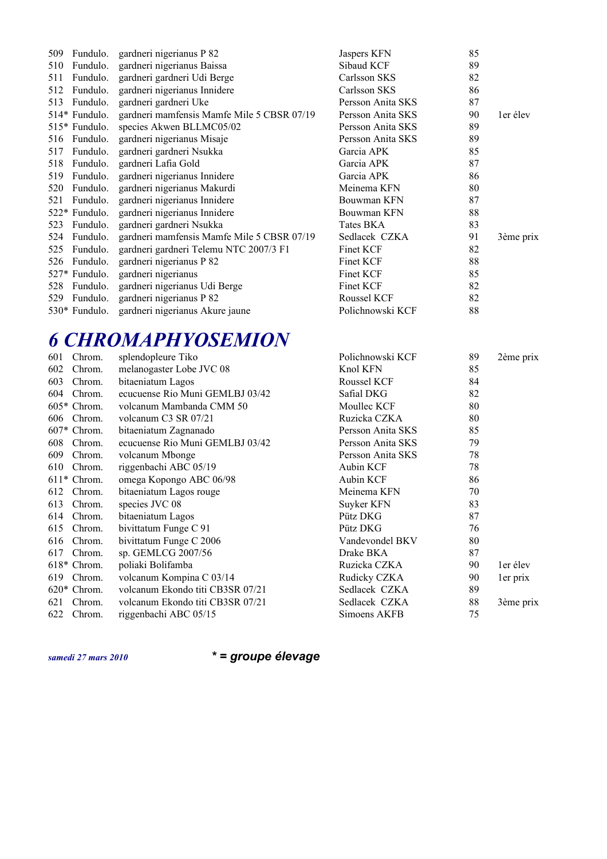| 509 | Fundulo.      | gardneri nigerianus P 82                   | Jaspers KFN       | 85 |           |
|-----|---------------|--------------------------------------------|-------------------|----|-----------|
| 510 | Fundulo.      | gardneri nigerianus Baissa                 | Sibaud KCF        | 89 |           |
| 511 | Fundulo.      | gardneri gardneri Udi Berge                | Carlsson SKS      | 82 |           |
| 512 | Fundulo.      | gardneri nigerianus Innidere               | Carlsson SKS      | 86 |           |
| 513 | Fundulo.      | gardneri gardneri Uke                      | Persson Anita SKS | 87 |           |
|     | 514* Fundulo. | gardneri mamfensis Mamfe Mile 5 CBSR 07/19 | Persson Anita SKS | 90 | ler élev  |
|     | 515* Fundulo. | species Akwen BLLMC05/02                   | Persson Anita SKS | 89 |           |
| 516 | Fundulo.      | gardneri nigerianus Misaje                 | Persson Anita SKS | 89 |           |
| 517 | Fundulo.      | gardneri gardneri Nsukka                   | Garcia APK        | 85 |           |
| 518 | Fundulo.      | gardneri Lafia Gold                        | Garcia APK        | 87 |           |
| 519 | Fundulo.      | gardneri nigerianus Innidere               | Garcia APK        | 86 |           |
| 520 | Fundulo.      | gardneri nigerianus Makurdi                | Meinema KFN       | 80 |           |
| 521 | Fundulo.      | gardneri nigerianus Innidere               | Bouwman KFN       | 87 |           |
|     | 522* Fundulo. | gardneri nigerianus Innidere               | Bouwman KFN       | 88 |           |
| 523 | Fundulo.      | gardneri gardneri Nsukka                   | Tates BKA         | 83 |           |
| 524 | Fundulo.      | gardneri mamfensis Mamfe Mile 5 CBSR 07/19 | Sedlacek CZKA     | 91 | 3ème prix |
| 525 | Fundulo.      | gardneri gardneri Telemu NTC 2007/3 F1     | Finet KCF         | 82 |           |
| 526 | Fundulo.      | gardneri nigerianus P 82                   | Finet KCF         | 88 |           |
|     | 527* Fundulo. | gardneri nigerianus                        | Finet KCF         | 85 |           |
| 528 | Fundulo.      | gardneri nigerianus Udi Berge              | Finet KCF         | 82 |           |
| 529 | Fundulo.      | gardneri nigerianus P 82                   | Roussel KCF       | 82 |           |
|     | 530* Fundulo. | gardneri nigerianus Akure jaune            | Polichnowski KCF  | 88 |           |
|     |               |                                            |                   |    |           |

#### *6 CHROMAPHYOSEMION*

| 601 | Chrom.        | splendopleure Tiko               | Polichnowski KCF  | 89 | 2ème prix |
|-----|---------------|----------------------------------|-------------------|----|-----------|
| 602 | Chrom.        | melanogaster Lobe JVC 08         | Knol KFN          | 85 |           |
| 603 | Chrom.        | bitaeniatum Lagos                | Roussel KCF       | 84 |           |
| 604 | Chrom.        | ecucuense Rio Muni GEMLBJ 03/42  | Safial DKG        | 82 |           |
|     | $605*$ Chrom. | volcanum Mambanda CMM 50         | Moullec KCF       | 80 |           |
| 606 | Chrom.        | volcanum C3 SR 07/21             | Ruzicka CZKA      | 80 |           |
|     | 607* Chrom.   | bitaeniatum Zagnanado            | Persson Anita SKS | 85 |           |
| 608 | Chrom.        | ecucuense Rio Muni GEMLBJ 03/42  | Persson Anita SKS | 79 |           |
| 609 | Chrom.        | volcanum Mbonge                  | Persson Anita SKS | 78 |           |
| 610 | Chrom.        | riggenbachi ABC 05/19            | Aubin KCF         | 78 |           |
|     | $611*$ Chrom. | omega Kopongo ABC 06/98          | <b>Aubin KCF</b>  | 86 |           |
| 612 | Chrom.        | bitaeniatum Lagos rouge          | Meinema KFN       | 70 |           |
| 613 | Chrom.        | species JVC 08                   | Suyker KFN        | 83 |           |
| 614 | Chrom.        | bitaeniatum Lagos                | Pütz DKG          | 87 |           |
| 615 | Chrom.        | bivittatum Funge C 91            | Pütz DKG          | 76 |           |
| 616 | Chrom.        | bivittatum Funge C 2006          | Vandevondel BKV   | 80 |           |
| 617 | Chrom.        | sp. GEMLCG 2007/56               | Drake BKA         | 87 |           |
|     | $618*$ Chrom. | poliaki Bolifamba                | Ruzicka CZKA      | 90 | ler élev  |
| 619 | Chrom.        | volcanum Kompina C 03/14         | Rudicky CZKA      | 90 | ler prix  |
|     | $620*$ Chrom. | volcanum Ekondo titi CB3SR 07/21 | Sedlacek CZKA     | 89 |           |
| 621 | Chrom.        | volcanum Ekondo titi CB3SR 07/21 | Sedlacek CZKA     | 88 | 3ème prix |
| 622 | Chrom.        | riggenbachi ABC 05/15            | Simoens AKFB      | 75 |           |
|     |               |                                  |                   |    |           |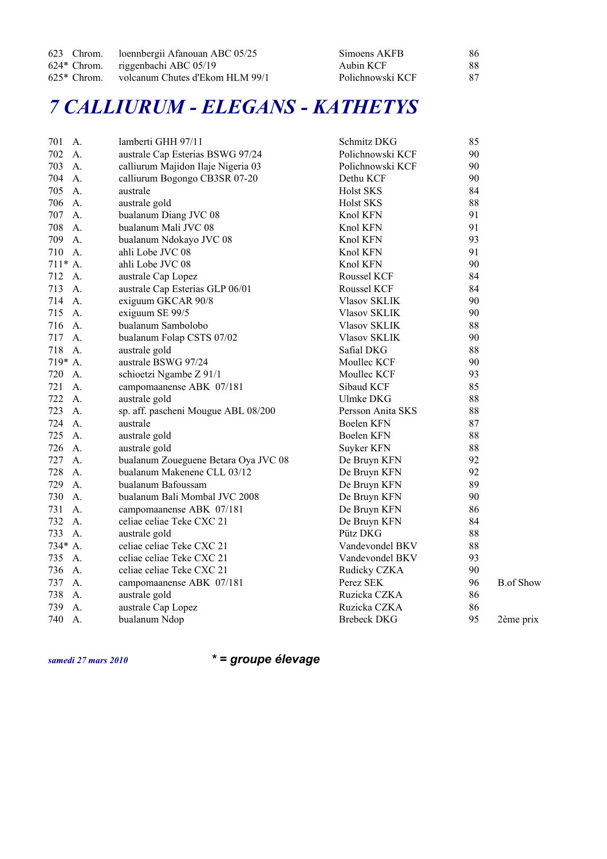|               | 623 Chrom. loennbergii Afanouan ABC 05/25 | Simoens AKFB     | 86 |
|---------------|-------------------------------------------|------------------|----|
|               | 624* Chrom. riggenbachi ABC 05/19         | Aubin KCF        | 88 |
| $625*$ Chrom. | volcanum Chutes d'Ekom HLM 99/1           | Polichnowski KCF | 87 |

#### *7 CALLIURUM - ELEGANS - KATHETYS*

| A.<br>701 | lamberti GHH 97/11                   | Schmitz DKG         | 85 |                  |
|-----------|--------------------------------------|---------------------|----|------------------|
| 702<br>A. | australe Cap Esterias BSWG 97/24     | Polichnowski KCF    | 90 |                  |
| 703<br>A. | calliurum Majidon Ilaje Nigeria 03   | Polichnowski KCF    | 90 |                  |
| 704<br>A. | calliurum Bogongo CB3SR 07-20        | Dethu KCF           | 90 |                  |
| 705<br>A. | australe                             | Holst SKS           | 84 |                  |
| 706<br>A. | australe gold                        | Holst SKS           | 88 |                  |
| 707<br>A. | bualanum Diang JVC 08                | Knol KFN            | 91 |                  |
| 708<br>A. | bualanum Mali JVC 08                 | Knol KFN            | 91 |                  |
| 709<br>A. | bualanum Ndokayo JVC 08              | Knol KFN            | 93 |                  |
| 710<br>A. | ahli Lobe JVC 08                     | Knol KFN            | 91 |                  |
| $711* A.$ | ahli Lobe JVC 08                     | Knol KFN            | 90 |                  |
| 712<br>A. | australe Cap Lopez                   | Roussel KCF         | 84 |                  |
| 713<br>A. | australe Cap Esterias GLP 06/01      | Roussel KCF         | 84 |                  |
| 714<br>A. | exiguum GKCAR 90/8                   | <b>Vlasov SKLIK</b> | 90 |                  |
| 715<br>A. | exiguum SE 99/5                      | <b>Vlasov SKLIK</b> | 90 |                  |
| 716<br>A. | bualanum Sambolobo                   | <b>Vlasov SKLIK</b> | 88 |                  |
| 717<br>A. | bualanum Folap CSTS 07/02            | <b>Vlasov SKLIK</b> | 90 |                  |
| 718<br>A. | australe gold                        | Safial DKG          | 88 |                  |
| 719* A.   | australe BSWG 97/24                  | Moullec KCF         | 90 |                  |
| 720<br>A. | schioetzi Ngambe Z 91/1              | Moullec KCF         | 93 |                  |
| 721<br>A. | campomaanense ABK 07/181             | Sibaud KCF          | 85 |                  |
| 722<br>A. | australe gold                        | Ulmke DKG           | 88 |                  |
| 723<br>A. | sp. aff. pascheni Mougue ABL 08/200  | Persson Anita SKS   | 88 |                  |
| 724<br>A. | australe                             | Boelen KFN          | 87 |                  |
| 725<br>A. | australe gold                        | Boelen KFN          | 88 |                  |
| 726<br>A. | australe gold                        | Suyker KFN          | 88 |                  |
| 727<br>A. | bualanum Zoueguene Betara Oya JVC 08 | De Bruyn KFN        | 92 |                  |
| 728<br>A. | bualanum Makenene CLL 03/12          | De Bruyn KFN        | 92 |                  |
| 729<br>A. | bualanum Bafoussam                   | De Bruyn KFN        | 89 |                  |
| 730<br>A. | bualanum Bali Mombal JVC 2008        | De Bruyn KFN        | 90 |                  |
| 731<br>A. | campomaanense ABK 07/181             | De Bruyn KFN        | 86 |                  |
| 732<br>A. | celiae celiae Teke CXC 21            | De Bruyn KFN        | 84 |                  |
| 733<br>A. | australe gold                        | Pütz DKG            | 88 |                  |
| 734* A.   | celiae celiae Teke CXC 21            | Vandevondel BKV     | 88 |                  |
| 735<br>A. | celiae celiae Teke CXC 21            | Vandevondel BKV     | 93 |                  |
| 736<br>A. | celiae celiae Teke CXC 21            | Rudicky CZKA        | 90 |                  |
| 737<br>A. | campomaanense ABK 07/181             | Perez SEK           | 96 | <b>B.of Show</b> |
| 738<br>A. | australe gold                        | Ruzicka CZKA        | 86 |                  |
| 739<br>A. | australe Cap Lopez                   | Ruzicka CZKA        | 86 |                  |
| 740<br>A. | bualanum Ndop                        | <b>Brebeck DKG</b>  | 95 | 2ème prix        |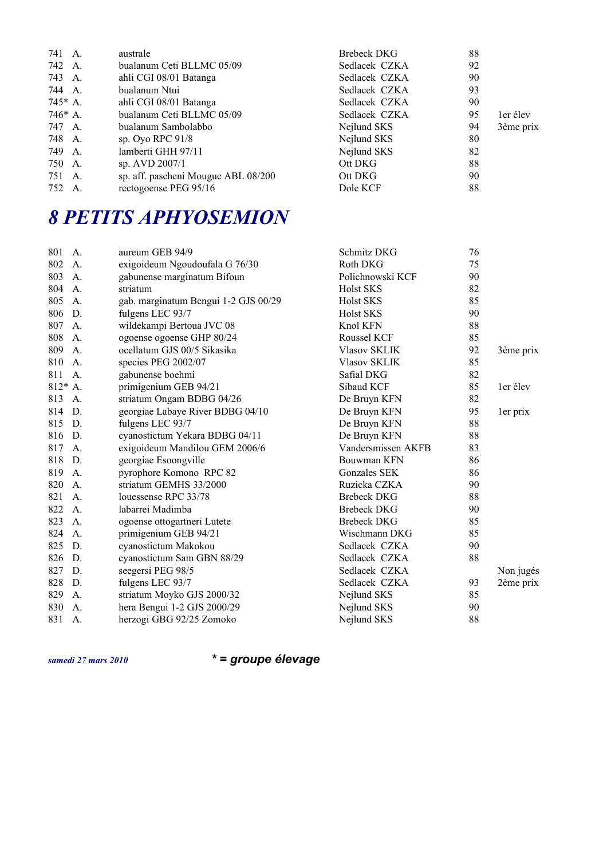| 741 A.    | australe                            | Brebeck DKG   | 88 |           |
|-----------|-------------------------------------|---------------|----|-----------|
| 742 A.    | bualanum Ceti BLLMC 05/09           | Sedlacek CZKA | 92 |           |
| 743 A.    | ahli CGI 08/01 Batanga              | Sedlacek CZKA | 90 |           |
| 744 A.    | bualanum Ntui                       | Sedlacek CZKA | 93 |           |
| $745*$ A. | ahli CGI 08/01 Batanga              | Sedlacek CZKA | 90 |           |
| $746*$ A. | bualanum Ceti BLLMC 05/09           | Sedlacek CZKA | 95 | ler élev  |
| 747 A.    | bualanum Sambolabbo                 | Nejlund SKS   | 94 | 3ème prix |
| 748 A.    | sp. Oyo RPC 91/8                    | Nejlund SKS   | 80 |           |
| 749 A.    | lamberti GHH 97/11                  | Nejlund SKS   | 82 |           |
| 750 A.    | sp. AVD 2007/1                      | Ott DKG       | 88 |           |
| 751 A.    | sp. aff. pascheni Mougue ABL 08/200 | Ott DKG       | 90 |           |
| 752 A.    | rectogoense PEG 95/16               | Dole KCF      | 88 |           |

## *8 PETITS APHYOSEMION*

| 801     | A.             | aureum GEB 94/9                      | Schmitz DKG         | 76 |           |
|---------|----------------|--------------------------------------|---------------------|----|-----------|
| 802     | A.             | exigoideum Ngoudoufala G 76/30       | Roth DKG            | 75 |           |
| 803     | A.             | gabunense marginatum Bifoun          | Polichnowski KCF    | 90 |           |
| 804     | A.             | striatum                             | <b>Holst SKS</b>    | 82 |           |
| 805     | A.             | gab. marginatum Bengui 1-2 GJS 00/29 | Holst SKS           | 85 |           |
| 806     | D.             | fulgens LEC 93/7                     | <b>Holst SKS</b>    | 90 |           |
| 807     | A.             | wildekampi Bertoua JVC 08            | Knol KFN            | 88 |           |
| 808     | A <sub>1</sub> | ogoense ogoense GHP 80/24            | Roussel KCF         | 85 |           |
| 809     | A.             | ocellatum GJS 00/5 Sikasika          | <b>Vlasov SKLIK</b> | 92 | 3ème prix |
| 810     | A.             | species PEG 2002/07                  | <b>Vlasov SKLIK</b> | 85 |           |
| 811 A.  |                | gabunense boehmi                     | Safial DKG          | 82 |           |
| 812* A. |                | primigenium GEB 94/21                | Sibaud KCF          | 85 | ler élev  |
| 813     | A.             | striatum Ongam BDBG 04/26            | De Bruyn KFN        | 82 |           |
| 814     | D.             | georgiae Labaye River BDBG 04/10     | De Bruyn KFN        | 95 | ler prix  |
| 815 D.  |                | fulgens LEC 93/7                     | De Bruyn KFN        | 88 |           |
| 816 D.  |                | cyanostictum Yekara BDBG 04/11       | De Bruyn KFN        | 88 |           |
| 817     | A.             | exigoideum Mandilou GEM 2006/6       | Vandersmissen AKFB  | 83 |           |
| 818     | D.             | georgiae Esoongville                 | Bouwman KFN         | 86 |           |
| 819     | A.             | pyrophore Komono RPC 82              | Gonzales SEK        | 86 |           |
| 820     | A.             | striatum GEMHS 33/2000               | Ruzicka CZKA        | 90 |           |
| 821     | A.             | louessense RPC 33/78                 | <b>Brebeck DKG</b>  | 88 |           |
| 822     | A.             | labarrei Madimba                     | <b>Brebeck DKG</b>  | 90 |           |
| 823     | A.             | ogoense ottogartneri Lutete          | <b>Brebeck DKG</b>  | 85 |           |
| 824     | A.             | primigenium GEB 94/21                | Wischmann DKG       | 85 |           |
| 825     | D.             | cyanostictum Makokou                 | Sedlacek CZKA       | 90 |           |
| 826     | D.             | cyanostictum Sam GBN 88/29           | Sedlacek CZKA       | 88 |           |
| 827     | D.             | seegersi PEG 98/5                    | Sedlacek CZKA       |    | Non jugés |
| 828     | D.             | fulgens LEC 93/7                     | Sedlacek CZKA       | 93 | 2ème prix |
| 829     | A.             | striatum Moyko GJS 2000/32           | Nejlund SKS         | 85 |           |
| 830     | A.             | hera Bengui 1-2 GJS 2000/29          | Nejlund SKS         | 90 |           |
| 831     | A.             | herzogi GBG 92/25 Zomoko             | Nejlund SKS         | 88 |           |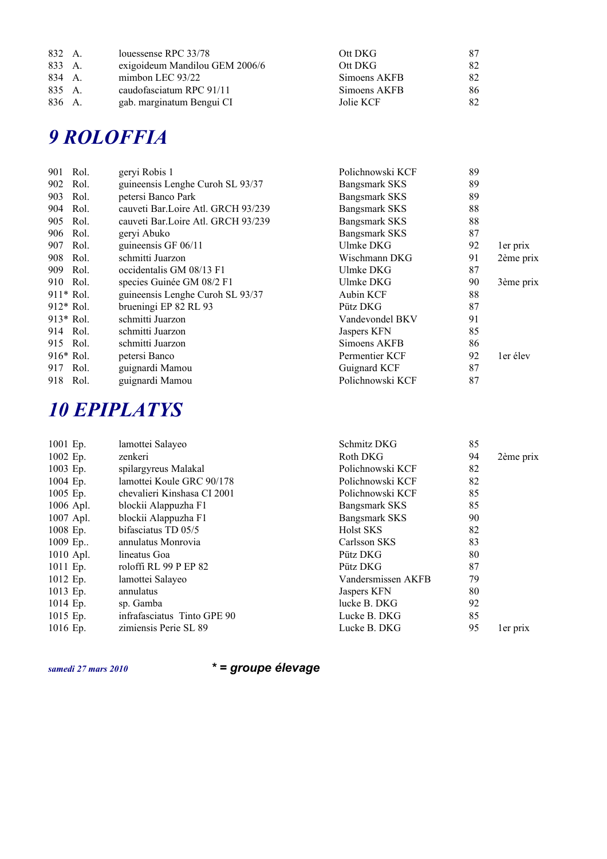| 832 A. | louessense RPC 33/78           | Ott DKG      | 87 |
|--------|--------------------------------|--------------|----|
| 833 A. | exigoideum Mandilou GEM 2006/6 | Ott DKG      | 82 |
| 834 A. | mimbon LEC $93/22$             | Simoens AKFB | 82 |
| 835 A. | caudofasciatum RPC 91/11       | Simoens AKFB | 86 |
| 836 A. | gab. marginatum Bengui CI      | Jolie KCF    | 82 |

#### *9 ROLOFFIA*

| 901         | Rol. | geryi Robis 1                      | Polichnowski KCF     | 89 |           |
|-------------|------|------------------------------------|----------------------|----|-----------|
| 902         | Rol. | guineensis Lenghe Curoh SL 93/37   | <b>Bangsmark SKS</b> | 89 |           |
| 903         | Rol. | petersi Banco Park                 | <b>Bangsmark SKS</b> | 89 |           |
| 904         | Rol. | cauveti Bar.Loire Atl. GRCH 93/239 | <b>Bangsmark SKS</b> | 88 |           |
| 905         | Rol. | cauveti Bar.Loire Atl. GRCH 93/239 | <b>Bangsmark SKS</b> | 88 |           |
| 906         | Rol. | geryi Abuko                        | <b>Bangsmark SKS</b> | 87 |           |
| 907         | Rol. | guineensis GF 06/11                | Ulmke DKG            | 92 | ler prix  |
| 908         | Rol. | schmitti Juarzon                   | Wischmann DKG        | 91 | 2ème prix |
| 909         | Rol. | occidentalis GM 08/13 F1           | Ulmke DKG            | 87 |           |
| 910 Rol.    |      | species Guinée GM 08/2 F1          | Ulmke DKG            | 90 | 3ème prix |
| 911* Rol.   |      | guineensis Lenghe Curoh SL 93/37   | <b>Aubin KCF</b>     | 88 |           |
| $912*$ Rol. |      | brueningi EP 82 RL 93              | Pütz DKG             | 87 |           |
| 913* Rol.   |      | schmitti Juarzon                   | Vandevondel BKV      | 91 |           |
| 914         | Rol. | schmitti Juarzon                   | Jaspers KFN          | 85 |           |
| 915 Rol.    |      | schmitti Juarzon                   | Simoens AKFB         | 86 |           |
| $916*$ Rol. |      | petersi Banco                      | Permentier KCF       | 92 | ler élev  |
| 917 Rol.    |      | guignardi Mamou                    | Guignard KCF         | 87 |           |
| 918 Rol.    |      | guignardi Mamou                    | Polichnowski KCF     | 87 |           |

### *10 EPIPLATYS*

| 1001 Ep.    | lamottei Salayeo            | Schmitz DKG          | 85 |           |
|-------------|-----------------------------|----------------------|----|-----------|
| 1002 Ep.    | zenkeri                     | Roth DKG             | 94 | 2ème prix |
| 1003 Ep.    | spilargyreus Malakal        | Polichnowski KCF     | 82 |           |
| 1004 Ep.    | lamottei Koule GRC 90/178   | Polichnowski KCF     | 82 |           |
| 1005 Ep.    | chevalieri Kinshasa CI 2001 | Polichnowski KCF     | 85 |           |
| 1006 Apl.   | blockii Alappuzha F1        | Bangsmark SKS        | 85 |           |
| $1007$ Apl. | blockii Alappuzha F1        | <b>Bangsmark SKS</b> | 90 |           |
| 1008 Ep.    | bifasciatus TD 05/5         | Holst SKS            | 82 |           |
| 1009 $Ep$   | annulatus Monrovia          | Carlsson SKS         | 83 |           |
| 1010 Apl.   | lineatus Goa                | Pütz DKG             | 80 |           |
| 1011 Ep.    | roloffi RL 99 P EP 82       | Pütz DKG             | 87 |           |
| 1012 Ep.    | lamottei Salayeo            | Vandersmissen AKFB   | 79 |           |
| 1013 Ep.    | annulatus                   | Jaspers KFN          | 80 |           |
| 1014 Ep.    | sp. Gamba                   | lucke B. DKG         | 92 |           |
| 1015 Ep.    | infrafasciatus Tinto GPE 90 | Lucke B. DKG         | 85 |           |
| 1016 Ep.    | zimiensis Perie SL 89       | Lucke B. DKG         | 95 | ler prix  |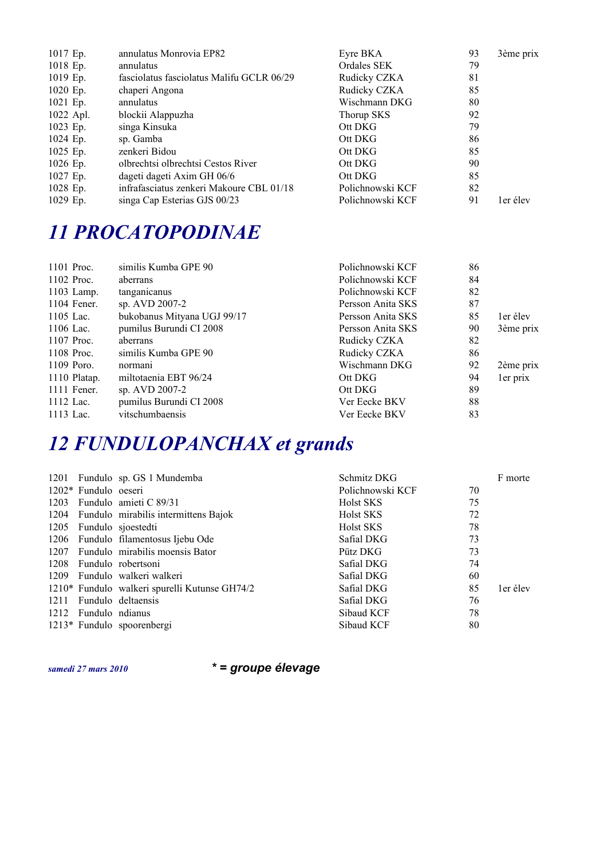| $1017$ Ep. | annulatus Monrovia EP82                   | Eyre BKA         | 93 | 3ème prix |
|------------|-------------------------------------------|------------------|----|-----------|
| $1018$ Ep. | annulatus                                 | Ordales SEK      | 79 |           |
| 1019 Ep.   | fasciolatus fasciolatus Malifu GCLR 06/29 | Rudicky CZKA     | 81 |           |
| $1020$ Ep. | chaperi Angona                            | Rudicky CZKA     | 85 |           |
| $1021$ Ep. | annulatus                                 | Wischmann DKG    | 80 |           |
| 1022 Apl.  | blockii Alappuzha                         | Thorup SKS       | 92 |           |
| 1023 Ep.   | singa Kinsuka                             | Ott DKG          | 79 |           |
| $1024$ Ep. | sp. Gamba                                 | Ott DKG          | 86 |           |
| 1025 Ep.   | zenkeri Bidou                             | Ott DKG          | 85 |           |
| $1026$ Ep. | olbrechtsi olbrechtsi Cestos River        | Ott DKG          | 90 |           |
| 1027 Ep.   | dageti dageti Axim GH 06/6                | Ott DKG          | 85 |           |
| 1028 Ep.   | infrafasciatus zenkeri Makoure CBL 01/18  | Polichnowski KCF | 82 |           |
| 1029 Ep.   | singa Cap Esterias GJS 00/23              | Polichnowski KCF | 91 | ler élev  |

#### *11 PROCATOPODINAE*

| 1101 Proc.   | similis Kumba GPE 90        | Polichnowski KCF  | 86 |           |
|--------------|-----------------------------|-------------------|----|-----------|
| 1102 Proc.   | aberrans                    | Polichnowski KCF  | 84 |           |
| $1103$ Lamp. | tanganicanus                | Polichnowski KCF  | 82 |           |
| 1104 Fener.  | sp. AVD 2007-2              | Persson Anita SKS | 87 |           |
| 1105 Lac.    | bukobanus Mityana UGJ 99/17 | Persson Anita SKS | 85 | ler élev  |
| 1106 Lac.    | pumilus Burundi CI 2008     | Persson Anita SKS | 90 | 3ème prix |
| 1107 Proc.   | aberrans                    | Rudicky CZKA      | 82 |           |
| 1108 Proc.   | similis Kumba GPE 90        | Rudicky CZKA      | 86 |           |
| $1109$ Poro. | normani                     | Wischmann DKG     | 92 | 2ème prix |
| 1110 Platap. | miltotaenia EBT 96/24       | Ott DKG           | 94 | ler prix  |
| 1111 Fener.  | sp. AVD 2007-2              | Ott DKG           | 89 |           |
| 1112 Lac.    | pumilus Burundi CI 2008     | Ver Eecke BKV     | 88 |           |
| 1113 Lac.    | vitschumbaensis             | Ver Eecke BKV     | 83 |           |

# *12 FUNDULOPANCHAX et grands*

|                        | 1201 Fundulo sp. GS 1 Mundemba                | Schmitz DKG      |    | F morte  |
|------------------------|-----------------------------------------------|------------------|----|----------|
| $1202*$ Fundulo oeseri |                                               | Polichnowski KCF | 70 |          |
|                        | 1203 Fundulo amieti C 89/31                   | <b>Holst SKS</b> | 75 |          |
|                        | 1204 Fundulo mirabilis intermittens Bajok     | <b>Holst SKS</b> | 72 |          |
|                        | 1205 Fundulo sjoestedti                       | Holst SKS        | 78 |          |
|                        | 1206 Fundulo filamentosus Ijebu Ode           | Safial DKG       | 73 |          |
|                        | 1207 Fundulo mirabilis moensis Bator          | Pütz DKG         | 73 |          |
|                        | 1208 Fundulo robertsoni                       | Safial DKG       | 74 |          |
|                        | 1209 Fundulo walkeri walkeri                  | Safial DKG       | 60 |          |
|                        | 1210* Fundulo walkeri spurelli Kutunse GH74/2 | Safial DKG       | 85 | ler élev |
|                        | 1211 Fundulo deltaensis                       | Safial DKG       | 76 |          |
| 1212 Fundulo ndianus   |                                               | Sibaud KCF       | 78 |          |
|                        | 1213* Fundulo spoorenbergi                    | Sibaud KCF       | 80 |          |
|                        |                                               |                  |    |          |